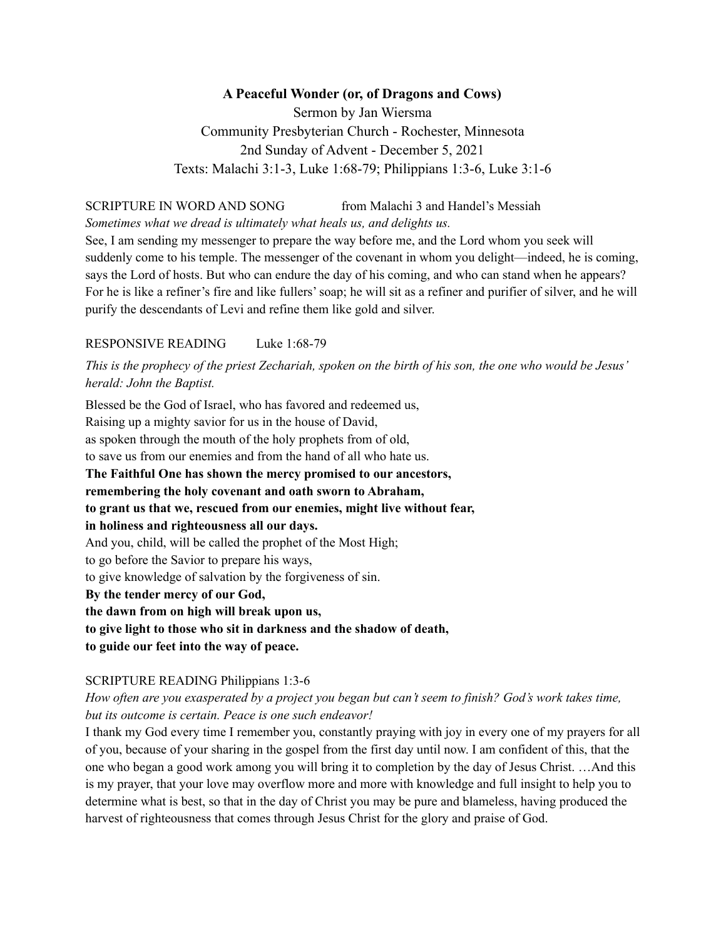## **A Peaceful Wonder (or, of Dragons and Cows)**

Sermon by Jan Wiersma Community Presbyterian Church - Rochester, Minnesota 2nd Sunday of Advent - December 5, 2021 Texts: Malachi 3:1-3, Luke 1:68-79; Philippians 1:3-6, Luke 3:1-6

# SCRIPTURE IN WORD AND SONG from Malachi 3 and Handel's Messiah

*Sometimes what we dread is ultimately what heals us, and delights us.* See, I am sending my messenger to prepare the way before me, and the Lord whom you seek will suddenly come to his temple. The messenger of the covenant in whom you delight—indeed, he is coming, says the Lord of hosts. But who can endure the day of his coming, and who can stand when he appears? For he is like a refiner's fire and like fullers'soap; he will sit as a refiner and purifier of silver, and he will purify the descendants of Levi and refine them like gold and silver.

### RESPONSIVE READING Luke 1:68-79

This is the prophecy of the priest Zechariah, spoken on the birth of his son, the one who would be Jesus' *herald: John the Baptist.*

Blessed be the God of Israel, who has favored and redeemed us, Raising up a mighty savior for us in the house of David, as spoken through the mouth of the holy prophets from of old, to save us from our enemies and from the hand of all who hate us. **The Faithful One has shown the mercy promised to our ancestors, remembering the holy covenant and oath sworn to Abraham, to grant us that we, rescued from our enemies, might live without fear, in holiness and righteousness all our days.** And you, child, will be called the prophet of the Most High; to go before the Savior to prepare his ways, to give knowledge of salvation by the forgiveness of sin. **By the tender mercy of our God, the dawn from on high will break upon us, to give light to those who sit in darkness and the shadow of death, to guide our feet into the way of peace.**

## SCRIPTURE READING Philippians 1:3-6

How often are you exasperated by a project you began but can't seem to finish? God's work takes time, *but its outcome is certain. Peace is one such endeavor!*

I thank my God every time I remember you, constantly praying with joy in every one of my prayers for all of you, because of your sharing in the gospel from the first day until now. I am confident of this, that the one who began a good work among you will bring it to completion by the day of Jesus Christ. …And this is my prayer, that your love may overflow more and more with knowledge and full insight to help you to determine what is best, so that in the day of Christ you may be pure and blameless, having produced the harvest of righteousness that comes through Jesus Christ for the glory and praise of God.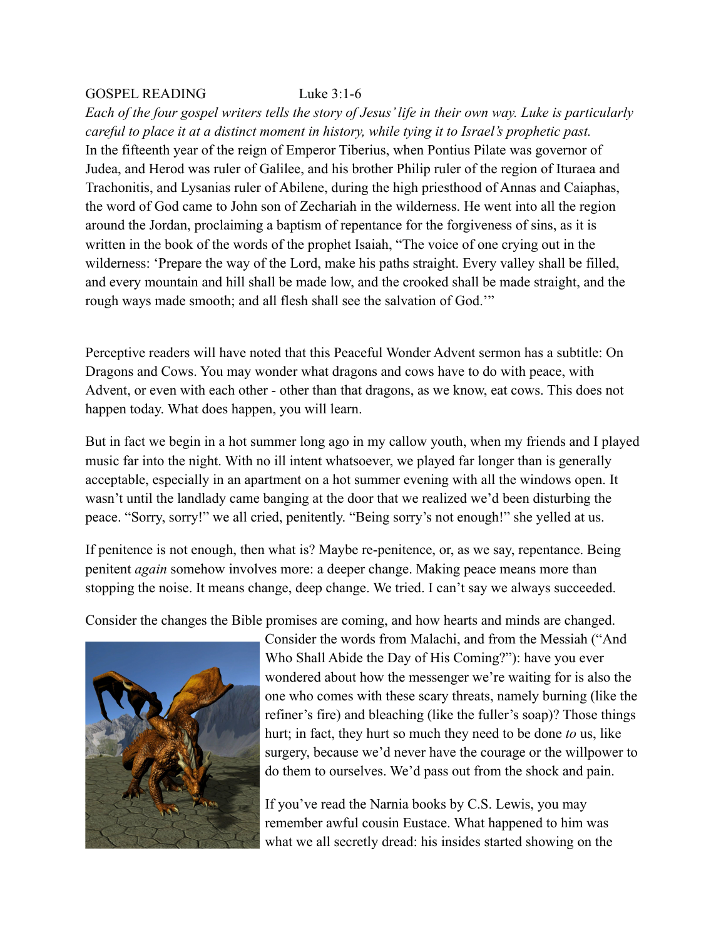### GOSPEL READING Luke 3:1-6

*Each of the four gospel writers tells the story of Jesus' life in their own way. Luke is particularly careful to place it at a distinct moment in history, while tying it to Israel's prophetic past.* In the fifteenth year of the reign of Emperor Tiberius, when Pontius Pilate was governor of Judea, and Herod was ruler of Galilee, and his brother Philip ruler of the region of Ituraea and Trachonitis, and Lysanias ruler of Abilene, during the high priesthood of Annas and Caiaphas, the word of God came to John son of Zechariah in the wilderness. He went into all the region around the Jordan, proclaiming a baptism of repentance for the forgiveness of sins, as it is written in the book of the words of the prophet Isaiah, "The voice of one crying out in the wilderness: 'Prepare the way of the Lord, make his paths straight. Every valley shall be filled, and every mountain and hill shall be made low, and the crooked shall be made straight, and the rough ways made smooth; and all flesh shall see the salvation of God.'"

Perceptive readers will have noted that this Peaceful Wonder Advent sermon has a subtitle: On Dragons and Cows. You may wonder what dragons and cows have to do with peace, with Advent, or even with each other - other than that dragons, as we know, eat cows. This does not happen today. What does happen, you will learn.

But in fact we begin in a hot summer long ago in my callow youth, when my friends and I played music far into the night. With no ill intent whatsoever, we played far longer than is generally acceptable, especially in an apartment on a hot summer evening with all the windows open. It wasn't until the landlady came banging at the door that we realized we'd been disturbing the peace. "Sorry, sorry!" we all cried, penitently. "Being sorry's not enough!" she yelled at us.

If penitence is not enough, then what is? Maybe re-penitence, or, as we say, repentance. Being penitent *again* somehow involves more: a deeper change. Making peace means more than stopping the noise. It means change, deep change. We tried. I can't say we always succeeded.

Consider the changes the Bible promises are coming, and how hearts and minds are changed.



Consider the words from Malachi, and from the Messiah ("And Who Shall Abide the Day of His Coming?"): have you ever wondered about how the messenger we're waiting for is also the one who comes with these scary threats, namely burning (like the refiner's fire) and bleaching (like the fuller's soap)? Those things hurt; in fact, they hurt so much they need to be done *to* us, like surgery, because we'd never have the courage or the willpower to do them to ourselves. We'd pass out from the shock and pain.

If you've read the Narnia books by C.S. Lewis, you may remember awful cousin Eustace. What happened to him was what we all secretly dread: his insides started showing on the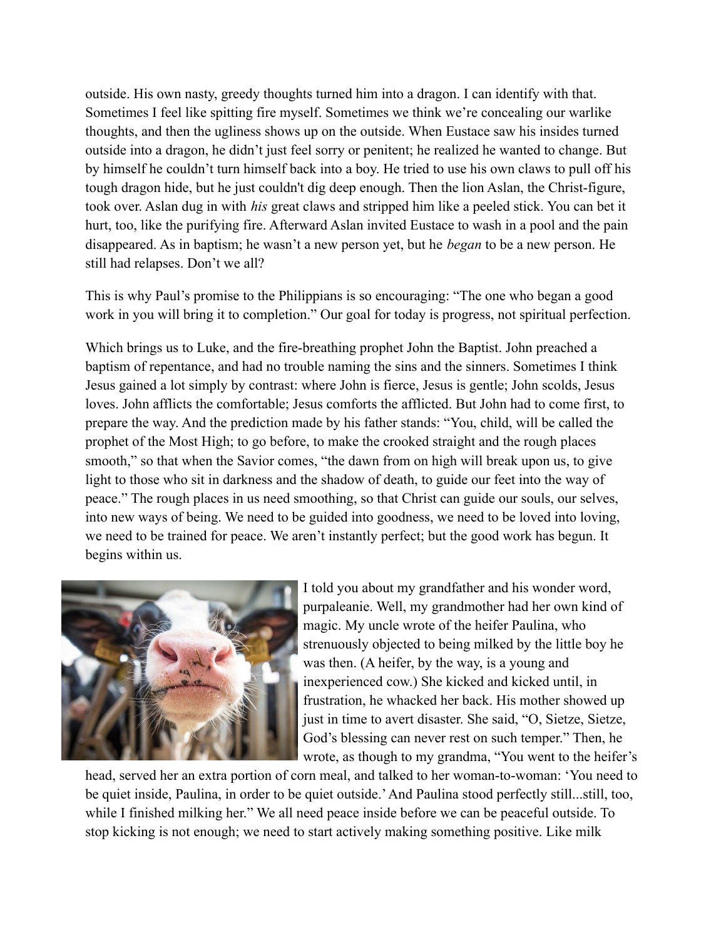outside. His own nasty, greedy thoughts turned him into a dragon. I can identify with that. Sometimes I feel like spitting fire myself. Sometimes we think we're concealing our warlike thoughts, and then the ugliness shows up on the outside. When Eustace saw his insides turned outside into a dragon, he didn't just feel sorry or penitent; he realized he wanted to change. But by himself he couldn't turn himself back into a boy. He tried to use his own claws to pull off his tough dragon hide, but he just couldn't dig deep enough. Then the lion Aslan, the Christ-figure, took over. Aslan dug in with *his* great claws and stripped him like a peeled stick. You can bet it hurt, too, like the purifying fire. Afterward Aslan invited Eustace to wash in a pool and the pain disappeared. As in baptism; he wasn't a new person yet, but he *began* to be a new person. He still had relapses. Don't we all?

This is why Paul's promise to the Philippians is so encouraging: "The one who began a good work in you will bring it to completion." Our goal for today is progress, not spiritual perfection.

Which brings us to Luke, and the fire-breathing prophet John the Baptist. John preached a baptism of repentance, and had no trouble naming the sins and the sinners. Sometimes I think Jesus gained a lot simply by contrast: where John is fierce, Jesus is gentle; John scolds, Jesus loves. John afflicts the comfortable; Jesus comforts the afflicted. But John had to come first, to prepare the way. And the prediction made by his father stands: "You, child, will be called the prophet of the Most High; to go before, to make the crooked straight and the rough places smooth," so that when the Savior comes, "the dawn from on high will break upon us, to give light to those who sit in darkness and the shadow of death, to guide our feet into the way of peace." The rough places in us need smoothing, so that Christ can guide our souls, our selves, into new ways of being. We need to be guided into goodness, we need to be loved into loving, we need to be trained for peace. We aren't instantly perfect; but the good work has begun. It begins within us.



I told you about my grandfather and his wonder word, purpaleanie. Well, my grandmother had her own kind of magic. My uncle wrote of the heifer Paulina, who strenuously objected to being milked by the little boy he was then. (A heifer, by the way, is a young and inexperienced cow.) She kicked and kicked until, in frustration, he whacked her back. His mother showed up just in time to avert disaster. She said, "O, Sietze, Sietze, God's blessing can never rest on such temper." Then, he wrote, as though to my grandma, "You went to the heifer's

head, served her an extra portion of corn meal, and talked to her woman-to-woman: 'You need to be quiet inside, Paulina, in order to be quiet outside.'And Paulina stood perfectly still...still, too, while I finished milking her." We all need peace inside before we can be peaceful outside. To stop kicking is not enough; we need to start actively making something positive. Like milk